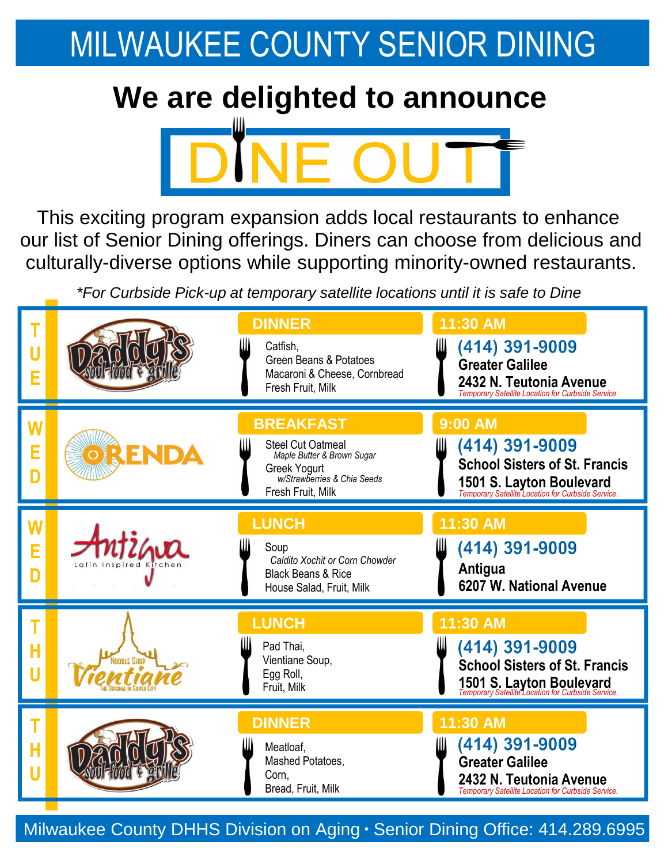## MILWAUKEE COUNTY SENIOR DINING

## **We are delighted to announce**



This exciting program expansion adds local restaurants to enhance our list of Senior Dining offerings. Diners can choose from delicious and culturally-diverse options while supporting minority-owned restaurants.

*\*For Curbside Pick-up at temporary satellite locations until it is safe to Dine* 

| E           |                   | <b>DINNER</b><br>Catfish,<br>Green Beans & Potatoes<br>Macaroni & Cheese, Cornbread<br>Fresh Fruit, Milk                                       | 11:30 AM<br>(414) 391-9009<br>Ш<br><b>Greater Galilee</b><br>2432 N. Teutonia Avenue<br>Temporary Satellite Location for Curbside Service.                         |
|-------------|-------------------|------------------------------------------------------------------------------------------------------------------------------------------------|--------------------------------------------------------------------------------------------------------------------------------------------------------------------|
| E<br>D      | ORENDA            | <b>BREAKFAST</b><br><b>Steel Cut Oatmeal</b><br>Maple Butter & Brown Sugar<br>Greek Yogurt<br>w/Strawberries & Chia Seeds<br>Fresh Fruit, Milk | <b>9:00 AM</b><br>(414) 391-9009<br>IIII<br><b>School Sisters of St. Francis</b><br>1501 S. Layton Boulevard<br>Temporary Satellite Location for Curbside Service. |
| W<br>E<br>D | Latin Inspired K  | <b>LUNCH</b><br>Soup<br>Caldito Xochit or Corn Chowder<br><b>Black Beans &amp; Rice</b><br>House Salad, Fruit, Milk                            | 11:30 AM<br>(414) 391-9009<br>Antigua<br>6207 W. National Avenue                                                                                                   |
| Н           | <b>OODLE SHOP</b> | <b>LUNCH</b><br>Pad Thai,<br>Vientiane Soup,<br>Egg Roll,<br>Fruit, Milk                                                                       | 11:30 AM<br>(414) 391-9009<br><b>School Sisters of St. Francis</b><br>1501 S. Layton Boulevard                                                                     |
| Н           |                   | <b>DINNER</b><br>Meatloaf,<br>Mashed Potatoes,<br>Corn.<br>Bread, Fruit, Milk                                                                  | 11:30 AM<br>(414) 391-9009<br><b>Greater Galilee</b><br>2432 N. Teutonia Avenue<br>Temporary Satellite Location for Curbside Service.                              |

Milwaukee County DHHS Division on Aging . Senior Dining Office: 414.289.6995